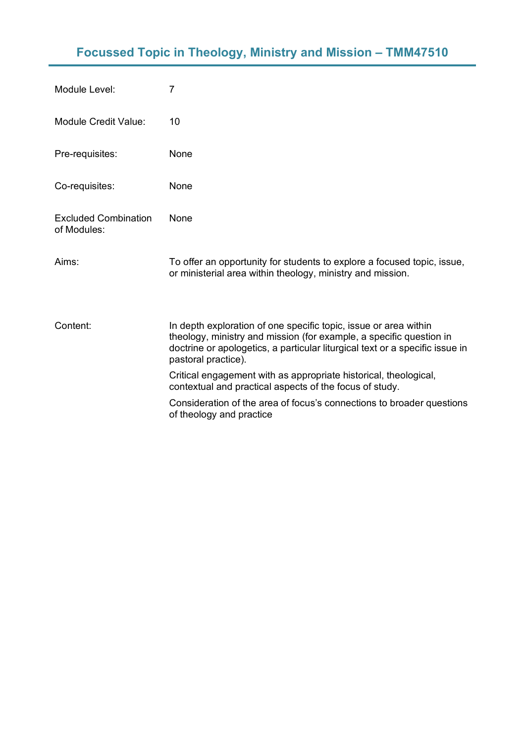## **Focussed Topic in Theology, Ministry and Mission – TMM47510**

| Module Level:                              | 7                                                                                                                                                                                                                                              |
|--------------------------------------------|------------------------------------------------------------------------------------------------------------------------------------------------------------------------------------------------------------------------------------------------|
| <b>Module Credit Value:</b>                | 10                                                                                                                                                                                                                                             |
| Pre-requisites:                            | None                                                                                                                                                                                                                                           |
| Co-requisites:                             | None                                                                                                                                                                                                                                           |
| <b>Excluded Combination</b><br>of Modules: | None                                                                                                                                                                                                                                           |
| Aims:                                      | To offer an opportunity for students to explore a focused topic, issue,<br>or ministerial area within theology, ministry and mission.                                                                                                          |
| Content:                                   | In depth exploration of one specific topic, issue or area within<br>theology, ministry and mission (for example, a specific question in<br>doctrine or apologetics, a particular liturgical text or a specific issue in<br>pastoral practice). |
|                                            | Critical engagement with as appropriate historical, theological,<br>contextual and practical aspects of the focus of study.                                                                                                                    |
|                                            | Consideration of the area of focus's connections to broader questions<br>of theology and practice                                                                                                                                              |